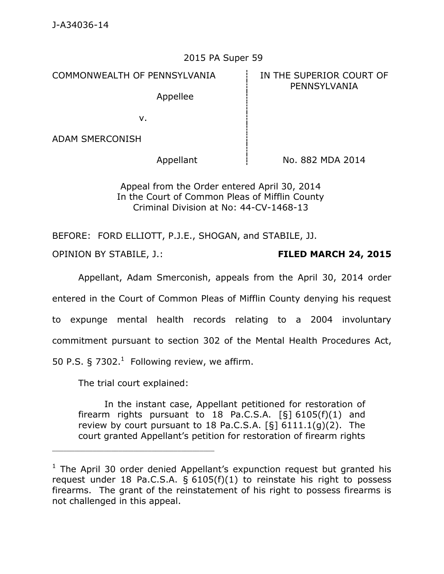## 2015 PA Super 59

COMMONWEALTH OF PENNSYLVANIA **IN THE SUPERIOR COURT OF** 

Appellee

PENNSYLVANIA

v.

ADAM SMERCONISH

Appellant  $\frac{1}{1}$  No. 882 MDA 2014

Appeal from the Order entered April 30, 2014 In the Court of Common Pleas of Mifflin County Criminal Division at No: 44-CV-1468-13

BEFORE: FORD ELLIOTT, P.J.E., SHOGAN, and STABILE, JJ.

OPINION BY STABILE, J.: **FILED MARCH 24, 2015**

Appellant, Adam Smerconish, appeals from the April 30, 2014 order entered in the Court of Common Pleas of Mifflin County denying his request to expunge mental health records relating to a 2004 involuntary commitment pursuant to section 302 of the Mental Health Procedures Act, 50 P.S.  $\S 7302$ <sup>1</sup> Following review, we affirm.

The trial court explained:

In the instant case, Appellant petitioned for restoration of firearm rights pursuant to 18 Pa.C.S.A.  $[5] 6105(f)(1)$  and review by court pursuant to 18 Pa.C.S.A. [§] 6111.1(g)(2). The court granted Appellant's petition for restoration of firearm rights

 $1$  The April 30 order denied Appellant's expunction request but granted his request under 18 Pa.C.S.A. § 6105(f)(1) to reinstate his right to possess firearms. The grant of the reinstatement of his right to possess firearms is not challenged in this appeal.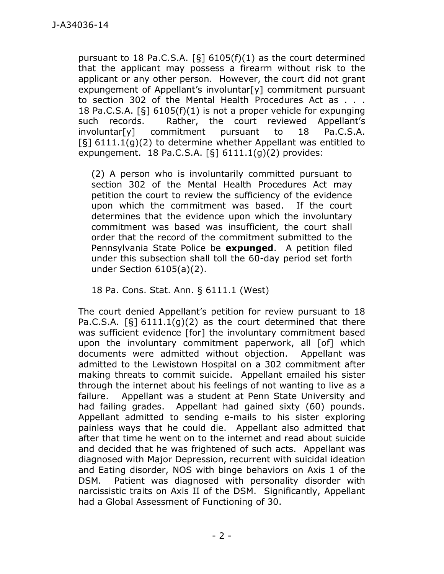pursuant to 18 Pa.C.S.A.  $\lceil \xi \rceil$  6105(f)(1) as the court determined that the applicant may possess a firearm without risk to the applicant or any other person. However, the court did not grant expungement of Appellant's involuntar<sup>[y]</sup> commitment pursuant to section 302 of the Mental Health Procedures Act as . . . 18 Pa.C.S.A. [§] 6105(f)(1) is not a proper vehicle for expunging such records. Rather, the court reviewed Appellant's involuntar[y] commitment pursuant to 18 Pa.C.S.A.  $\lceil \xi \rceil$  6111.1(g)(2) to determine whether Appellant was entitled to expungement. 18 Pa.C.S.A.  $\lceil \xi \rceil$  6111.1(g)(2) provides:

(2) A person who is involuntarily committed pursuant to section 302 of the Mental Health Procedures Act may petition the court to review the sufficiency of the evidence upon which the commitment was based. If the court determines that the evidence upon which the involuntary commitment was based was insufficient, the court shall order that the record of the commitment submitted to the Pennsylvania State Police be **expunged**. A petition filed under this subsection shall toll the 60-day period set forth under Section 6105(a)(2).

18 Pa. Cons. Stat. Ann. § 6111.1 (West)

The court denied Appellant's petition for review pursuant to 18 Pa.C.S.A.  $\lceil \xi \rceil$  6111.1(g)(2) as the court determined that there was sufficient evidence [for] the involuntary commitment based upon the involuntary commitment paperwork, all [of] which documents were admitted without objection. Appellant was admitted to the Lewistown Hospital on a 302 commitment after making threats to commit suicide. Appellant emailed his sister through the internet about his feelings of not wanting to live as a failure. Appellant was a student at Penn State University and had failing grades. Appellant had gained sixty (60) pounds. Appellant admitted to sending e-mails to his sister exploring painless ways that he could die. Appellant also admitted that after that time he went on to the internet and read about suicide and decided that he was frightened of such acts. Appellant was diagnosed with Major Depression, recurrent with suicidal ideation and Eating disorder, NOS with binge behaviors on Axis 1 of the DSM. Patient was diagnosed with personality disorder with narcissistic traits on Axis II of the DSM. Significantly, Appellant had a Global Assessment of Functioning of 30.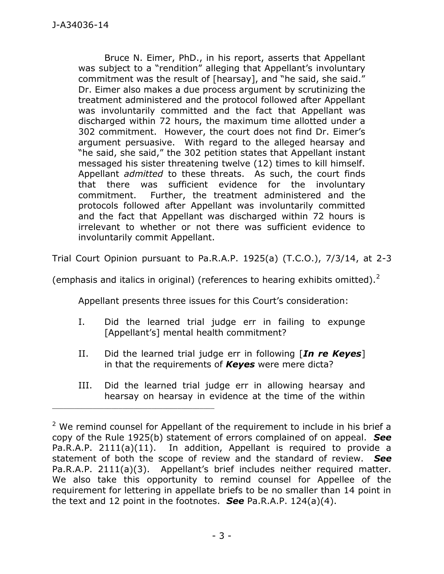Bruce N. Eimer, PhD., in his report, asserts that Appellant was subject to a "rendition" alleging that Appellant's involuntary commitment was the result of [hearsay], and "he said, she said." Dr. Eimer also makes a due process argument by scrutinizing the treatment administered and the protocol followed after Appellant was involuntarily committed and the fact that Appellant was discharged within 72 hours, the maximum time allotted under a 302 commitment. However, the court does not find Dr. Eimer's argument persuasive. With regard to the alleged hearsay and "he said, she said," the 302 petition states that Appellant instant messaged his sister threatening twelve (12) times to kill himself. Appellant *admitted* to these threats. As such, the court finds that there was sufficient evidence for the involuntary commitment. Further, the treatment administered and the protocols followed after Appellant was involuntarily committed and the fact that Appellant was discharged within 72 hours is irrelevant to whether or not there was sufficient evidence to involuntarily commit Appellant.

Trial Court Opinion pursuant to Pa.R.A.P. 1925(a) (T.C.O.), 7/3/14, at 2-3

(emphasis and italics in original) (references to hearing exhibits omitted).<sup>2</sup>

Appellant presents three issues for this Court's consideration:

- I. Did the learned trial judge err in failing to expunge [Appellant's] mental health commitment?
- II. Did the learned trial judge err in following [*In re Keyes*] in that the requirements of *Keyes* were mere dicta?
- III. Did the learned trial judge err in allowing hearsay and hearsay on hearsay in evidence at the time of the within

\_\_\_\_\_\_\_\_\_\_\_\_\_\_\_\_\_\_\_\_\_\_\_\_\_\_\_\_\_\_\_\_\_\_\_\_\_\_\_\_\_\_\_\_

 $2$  We remind counsel for Appellant of the requirement to include in his brief a copy of the Rule 1925(b) statement of errors complained of on appeal. *See*  Pa.R.A.P. 2111(a)(11). In addition, Appellant is required to provide a statement of both the scope of review and the standard of review. *See*  Pa.R.A.P. 2111(a)(3). Appellant's brief includes neither required matter. We also take this opportunity to remind counsel for Appellee of the requirement for lettering in appellate briefs to be no smaller than 14 point in the text and 12 point in the footnotes. *See* Pa.R.A.P. 124(a)(4).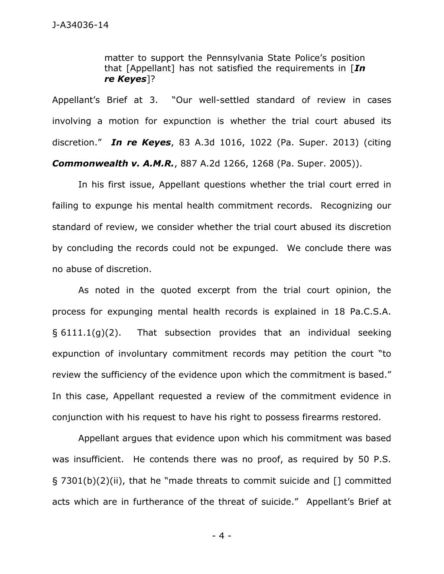matter to support the Pennsylvania State Police's position that [Appellant] has not satisfied the requirements in [*In re Keyes*]?

Appellant's Brief at 3. "Our well-settled standard of review in cases involving a motion for expunction is whether the trial court abused its discretion." *In re Keyes*, 83 A.3d 1016, 1022 (Pa. Super. 2013) (citing *Commonwealth v. A.M.R.*, 887 A.2d 1266, 1268 (Pa. Super. 2005)).

In his first issue, Appellant questions whether the trial court erred in failing to expunge his mental health commitment records. Recognizing our standard of review, we consider whether the trial court abused its discretion by concluding the records could not be expunged. We conclude there was no abuse of discretion.

As noted in the quoted excerpt from the trial court opinion, the process for expunging mental health records is explained in 18 Pa.C.S.A.  $\S$  6111.1(g)(2). That subsection provides that an individual seeking expunction of involuntary commitment records may petition the court "to review the sufficiency of the evidence upon which the commitment is based." In this case, Appellant requested a review of the commitment evidence in conjunction with his request to have his right to possess firearms restored.

Appellant argues that evidence upon which his commitment was based was insufficient. He contends there was no proof, as required by 50 P.S. § 7301(b)(2)(ii), that he "made threats to commit suicide and [] committed acts which are in furtherance of the threat of suicide." Appellant's Brief at

- 4 -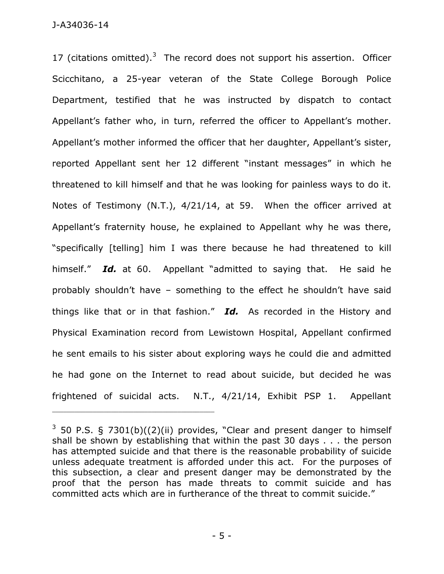J-A34036-14

17 (citations omitted).<sup>3</sup> The record does not support his assertion. Officer Scicchitano, a 25-year veteran of the State College Borough Police Department, testified that he was instructed by dispatch to contact Appellant's father who, in turn, referred the officer to Appellant's mother. Appellant's mother informed the officer that her daughter, Appellant's sister, reported Appellant sent her 12 different "instant messages" in which he threatened to kill himself and that he was looking for painless ways to do it. Notes of Testimony (N.T.), 4/21/14, at 59. When the officer arrived at Appellant's fraternity house, he explained to Appellant why he was there, "specifically [telling] him I was there because he had threatened to kill himself." *Id.* at 60. Appellant "admitted to saying that. He said he probably shouldn't have – something to the effect he shouldn't have said things like that or in that fashion." *Id.* As recorded in the History and Physical Examination record from Lewistown Hospital, Appellant confirmed he sent emails to his sister about exploring ways he could die and admitted he had gone on the Internet to read about suicide, but decided he was frightened of suicidal acts. N.T., 4/21/14, Exhibit PSP 1. Appellant

\_\_\_\_\_\_\_\_\_\_\_\_\_\_\_\_\_\_\_\_\_\_\_\_\_\_\_\_\_\_\_\_\_\_\_\_\_\_\_\_\_\_\_\_

 $3$  50 P.S. § 7301(b)((2)(ii) provides, "Clear and present danger to himself shall be shown by establishing that within the past 30 days . . . the person has attempted suicide and that there is the reasonable probability of suicide unless adequate treatment is afforded under this act. For the purposes of this subsection, a clear and present danger may be demonstrated by the proof that the person has made threats to commit suicide and has committed acts which are in furtherance of the threat to commit suicide."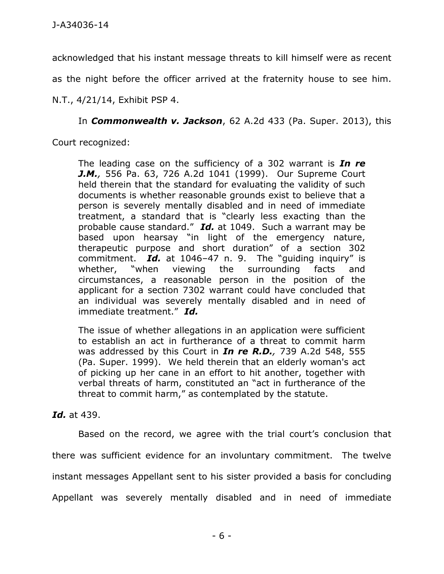acknowledged that his instant message threats to kill himself were as recent

as the night before the officer arrived at the fraternity house to see him.

N.T., 4/21/14, Exhibit PSP 4.

In *Commonwealth v. Jackson*, 62 A.2d 433 (Pa. Super. 2013), this

Court recognized:

The leading case on the sufficiency of a 302 warrant is *[In re](https://web2.westlaw.com/find/default.wl?mt=79&db=162&tc=-1&rp=%2ffind%2fdefault.wl&findtype=Y&ordoc=2029915837&serialnum=1999093379&vr=2.0&fn=_top&sv=Split&tf=-1&pbc=DC2116C6&rs=WLW15.01)  J.M.,* [556 Pa. 63, 726 A.2d 1041 \(1999\).](https://web2.westlaw.com/find/default.wl?mt=79&db=162&tc=-1&rp=%2ffind%2fdefault.wl&findtype=Y&ordoc=2029915837&serialnum=1999093379&vr=2.0&fn=_top&sv=Split&tf=-1&pbc=DC2116C6&rs=WLW15.01) Our Supreme Court held therein that the standard for evaluating the validity of such documents is whether reasonable grounds exist to believe that a person is severely mentally disabled and in need of immediate treatment, a standard that is "clearly less exacting than the probable cause standard." *Id.* [at 1049.](https://web2.westlaw.com/find/default.wl?rs=WLW15.01&pbc=DC2116C6&vr=2.0&findtype=Y&rp=%2ffind%2fdefault.wl&sv=Split&fn=_top&tf=-1&ordoc=2029915837&mt=79&serialnum=1999093379&tc=-1) Such a warrant may be based upon hearsay "in light of the emergency nature, therapeutic purpose and short duration" of a section 302 commitment. *Id.* at 1046–[47 n. 9.](https://web2.westlaw.com/find/default.wl?rs=WLW15.01&pbc=DC2116C6&vr=2.0&findtype=Y&rp=%2ffind%2fdefault.wl&sv=Split&fn=_top&tf=-1&ordoc=2029915837&mt=79&serialnum=1999093379&tc=-1) The "guiding inquiry" is whether, "when viewing the surrounding facts and circumstances, a reasonable person in the position of the applicant for a [section 7302](https://web2.westlaw.com/find/default.wl?mt=79&db=1000262&docname=PS50S7302&rp=%2ffind%2fdefault.wl&findtype=L&ordoc=2029915837&tc=-1&vr=2.0&fn=_top&sv=Split&tf=-1&pbc=DC2116C6&rs=WLW15.01) warrant could have concluded that an individual was severely mentally disabled and in need of immediate treatment." *Id.*

The issue of whether allegations in an application were sufficient to establish an act in furtherance of a threat to commit harm was addressed by this Court in *In re R.D.,* [739 A.2d 548, 555](https://web2.westlaw.com/find/default.wl?mt=79&db=162&tc=-1&rp=%2ffind%2fdefault.wl&findtype=Y&ordoc=2029915837&serialnum=1999208324&vr=2.0&fn=_top&sv=Split&tf=-1&referencepositiontype=S&pbc=DC2116C6&referenceposition=555&rs=WLW15.01)  [\(Pa. Super. 1999\).](https://web2.westlaw.com/find/default.wl?mt=79&db=162&tc=-1&rp=%2ffind%2fdefault.wl&findtype=Y&ordoc=2029915837&serialnum=1999208324&vr=2.0&fn=_top&sv=Split&tf=-1&referencepositiontype=S&pbc=DC2116C6&referenceposition=555&rs=WLW15.01) We held therein that an elderly woman's act of picking up her cane in an effort to hit another, together with verbal threats of harm, constituted an "act in furtherance of the threat to commit harm," as contemplated by the statute.

## *Id.* at 439.

Based on the record, we agree with the trial court's conclusion that there was sufficient evidence for an involuntary commitment. The twelve instant messages Appellant sent to his sister provided a basis for concluding Appellant was severely mentally disabled and in need of immediate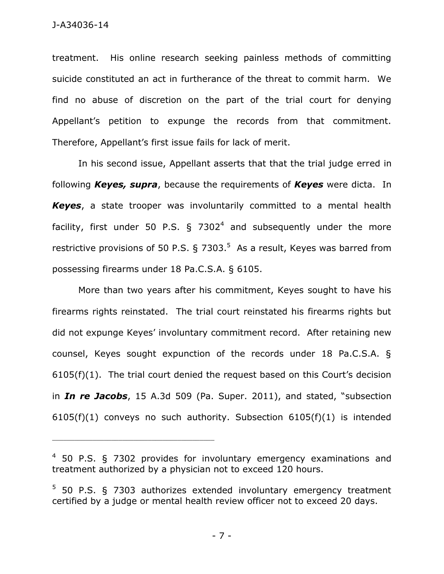treatment. His online research seeking painless methods of committing suicide constituted an act in furtherance of the threat to commit harm. We find no abuse of discretion on the part of the trial court for denying Appellant's petition to expunge the records from that commitment. Therefore, Appellant's first issue fails for lack of merit.

In his second issue, Appellant asserts that that the trial judge erred in following *Keyes, supra*, because the requirements of *Keyes* were dicta. In *Keyes*, a state trooper was involuntarily committed to a mental health facility, first under 50 P.S. § 7302<sup>4</sup> and subsequently under the more restrictive provisions of 50 P.S.  $\S$  7303.<sup>5</sup> As a result, Keyes was barred from possessing firearms under 18 Pa.C.S.A. § 6105.

More than two years after his commitment, Keyes sought to have his firearms rights reinstated. The trial court reinstated his firearms rights but did not expunge Keyes' involuntary commitment record. After retaining new counsel, Keyes sought expunction of the records under 18 Pa.C.S.A. § 6105(f)(1). The trial court denied the request based on this Court's decision in *In re Jacobs*, 15 A.3d 509 (Pa. Super. 2011), and stated, "subsection 6105(f)(1) conveys no such authority. Subsection 6105(f)(1) is intended

\_\_\_\_\_\_\_\_\_\_\_\_\_\_\_\_\_\_\_\_\_\_\_\_\_\_\_\_\_\_\_\_\_\_\_\_\_\_\_\_\_\_\_\_

- 7 -

 $4$  50 P.S. § 7302 provides for involuntary emergency examinations and treatment authorized by a physician not to exceed 120 hours.

<sup>5</sup> 50 P.S. § 7303 authorizes extended involuntary emergency treatment certified by a judge or mental health review officer not to exceed 20 days.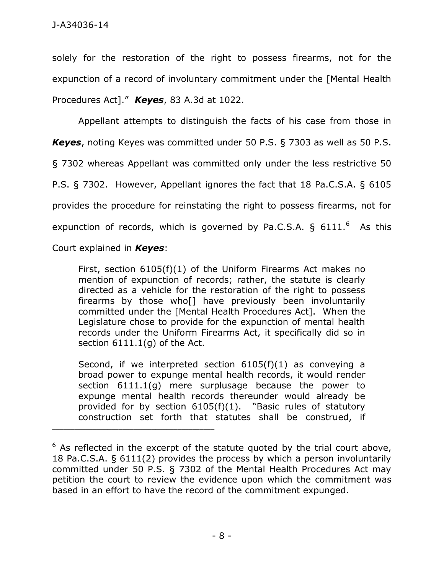solely for the restoration of the right to possess firearms, not for the expunction of a record of involuntary commitment under the [Mental Health Procedures Act]." *Keyes*, 83 A.3d at 1022.

Appellant attempts to distinguish the facts of his case from those in *Keyes*, noting Keyes was committed under 50 P.S. § 7303 as well as 50 P.S. § 7302 whereas Appellant was committed only under the less restrictive 50 P.S. § 7302. However, Appellant ignores the fact that 18 Pa.C.S.A. § 6105 provides the procedure for reinstating the right to possess firearms, not for expunction of records, which is governed by Pa.C.S.A.  $\S$  6111.<sup>6</sup> As this

Court explained in *Keyes*:

\_\_\_\_\_\_\_\_\_\_\_\_\_\_\_\_\_\_\_\_\_\_\_\_\_\_\_\_\_\_\_\_\_\_\_\_\_\_\_\_\_\_\_\_

First, [section 6105\(f\)\(1\)](https://web2.westlaw.com/find/default.wl?mt=79&db=1000262&docname=PA18S6105&rp=%2ffind%2fdefault.wl&findtype=L&ordoc=2032408467&tc=-1&vr=2.0&fn=_top&sv=Split&tf=-1&pbc=CAD797B7&rs=WLW15.01) of the Uniform Firearms Act makes no mention of expunction of records; rather, the statute is clearly directed as a vehicle for the restoration of the right to possess firearms by those who[] have previously been involuntarily committed under the [Mental Health Procedures Act]. When the Legislature chose to provide for the expunction of mental health records under the Uniform Firearms Act, it specifically did so in section 6111.1(g) of the Act.

Second, if we interpreted section 6105(f)(1) as conveying a broad power to expunge mental health records, it would render section 6111.1(g) mere surplusage because the power to expunge mental health records thereunder would already be provided for by section 6105(f)(1). "Basic rules of statutory construction set forth that statutes shall be construed, if

 $6$  As reflected in the excerpt of the statute quoted by the trial court above, 18 Pa.C.S.A. § 6111(2) provides the process by which a person involuntarily committed under 50 P.S. § 7302 of the Mental Health Procedures Act may petition the court to review the evidence upon which the commitment was based in an effort to have the record of the commitment expunged.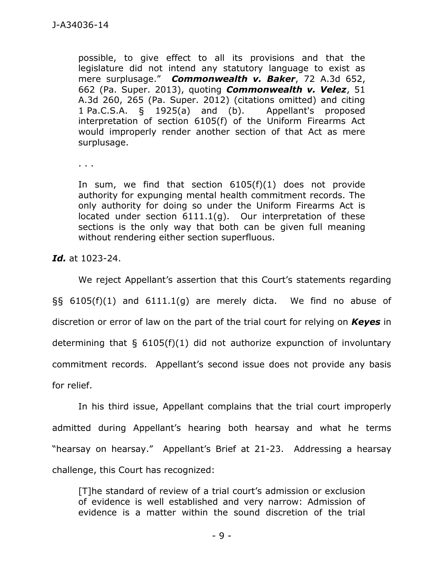possible, to give effect to all its provisions and that the legislature did not intend any statutory language to exist as mere surplusage." *Commonwealth v. Baker*, 72 A.3d 652, 662 (Pa. Super. 2013), quoting *Commonwealth v. Velez*, 51 A.3d 260, 265 (Pa. Super. 2012) (citations omitted) and citing 1 Pa.C.S.A. § 1925(a) and (b). Appellant's proposed interpretation of section 6105(f) of the Uniform Firearms Act would improperly render another section of that Act as mere surplusage.

. . .

In sum, we find that section 6105(f)(1) does not provide authority for expunging mental health commitment records. The only authority for doing so under the Uniform Firearms Act is located under section 6111.1(g). Our interpretation of these sections is the only way that both can be given full meaning without rendering either section superfluous.

*Id.* at 1023-24.

We reject Appellant's assertion that this Court's statements regarding §§ 6105(f)(1) and 6111.1(g) are merely dicta. We find no abuse of discretion or error of law on the part of the trial court for relying on *Keyes* in determining that  $\S$  6105(f)(1) did not authorize expunction of involuntary commitment records. Appellant's second issue does not provide any basis for relief.

In his third issue, Appellant complains that the trial court improperly admitted during Appellant's hearing both hearsay and what he terms "hearsay on hearsay." Appellant's Brief at 21-23. Addressing a hearsay challenge, this Court has recognized:

[T]he standard of review of a trial court's admission or exclusion of evidence is well established and very narrow: Admission of evidence is a matter within the sound discretion of the trial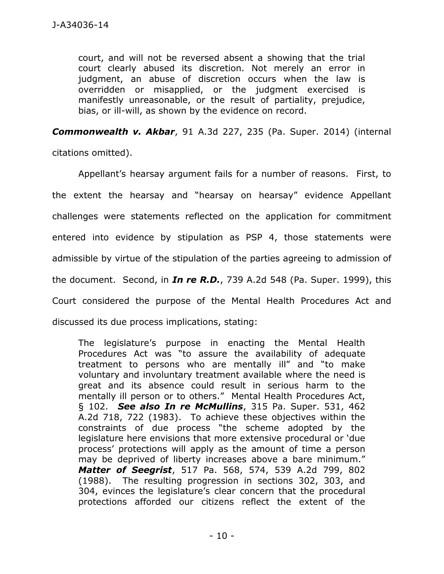court, and will not be reversed absent a showing that the trial court clearly abused its discretion. Not merely an error in judgment, an abuse of discretion occurs when the law is overridden or misapplied, or the judgment exercised is manifestly unreasonable, or the result of partiality, prejudice, bias, or ill-will, as shown by the evidence on record.

*Commonwealth v. Akbar*, 91 A.3d 227, 235 (Pa. Super. 2014) (internal citations omitted).

Appellant's hearsay argument fails for a number of reasons. First, to the extent the hearsay and "hearsay on hearsay" evidence Appellant challenges were statements reflected on the application for commitment entered into evidence by stipulation as PSP 4, those statements were admissible by virtue of the stipulation of the parties agreeing to admission of the document. Second, in *In re R.D.*, 739 A.2d 548 (Pa. Super. 1999), this Court considered the purpose of the Mental Health Procedures Act and discussed its due process implications, stating:

The legislature's purpose in enacting the Mental Health Procedures Act was "to assure the availability of adequate treatment to persons who are mentally ill" and "to make voluntary and involuntary treatment available where the need is great and its absence could result in serious harm to the mentally ill person or to others." Mental Health Procedures Act, § 102. *See also In re McMullins*, [315 Pa. Super. 531, 462](https://web2.westlaw.com/find/default.wl?mt=79&db=162&tc=-1&rp=%2ffind%2fdefault.wl&findtype=Y&ordoc=1999208324&serialnum=1983131523&vr=2.0&fn=_top&sv=Split&tf=-1&referencepositiontype=S&pbc=A29C041B&referenceposition=722&rs=WLW15.01)  [A.2d 718, 722 \(1983\).](https://web2.westlaw.com/find/default.wl?mt=79&db=162&tc=-1&rp=%2ffind%2fdefault.wl&findtype=Y&ordoc=1999208324&serialnum=1983131523&vr=2.0&fn=_top&sv=Split&tf=-1&referencepositiontype=S&pbc=A29C041B&referenceposition=722&rs=WLW15.01) To achieve these objectives within the constraints of due process "the scheme adopted by the legislature here envisions that more extensive procedural or 'due process' protections will apply as the amount of time a person may be deprived of liberty increases above a bare minimum." *Matter of Seegrist*, 517 Pa. 568, 574, 539 A.2d 799, 802 (1988). The resulting progression in sections 302, 303, and 304, evinces the legislature's clear concern that the procedural protections afforded our citizens reflect the extent of the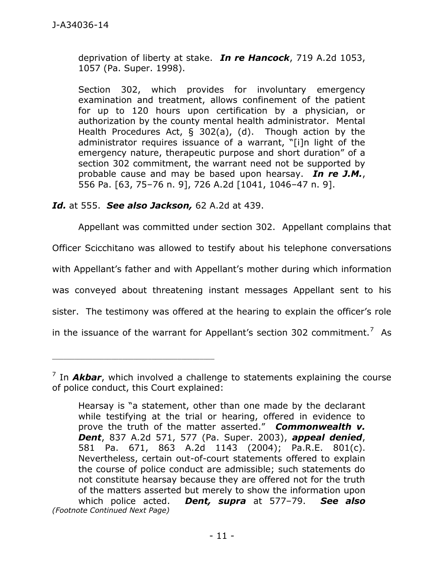deprivation of liberty at stake. *In re Hancock*, 719 A.2d 1053, 1057 (Pa. Super. 1998).

Section 302, which provides for involuntary emergency examination and treatment, allows confinement of the patient for up to 120 hours upon certification by a physician, or authorization by the county mental health administrator. Mental Health Procedures Act, § 302(a), (d). Though action by the administrator requires issuance of a warrant, "[i]n light of the emergency nature, therapeutic purpose and short duration" of a section 302 commitment, the warrant need not be supported by probable cause and may be based upon hearsay. *In re J.M.*, 556 Pa. [63, 75–76 n. 9], 726 A.2d [1041, 1046–47 n. 9].

*Id.* at 555. *See also Jackson,* 62 A.2d at 439.

\_\_\_\_\_\_\_\_\_\_\_\_\_\_\_\_\_\_\_\_\_\_\_\_\_\_\_\_\_\_\_\_\_\_\_\_\_\_\_\_\_\_\_\_

Appellant was committed under section 302. Appellant complains that

Officer Scicchitano was allowed to testify about his telephone conversations

with Appellant's father and with Appellant's mother during which information

was conveyed about threatening instant messages Appellant sent to his

sister. The testimony was offered at the hearing to explain the officer's role

in the issuance of the warrant for Appellant's section 302 commitment.<sup>7</sup> As

<sup>&</sup>lt;sup>7</sup> In *Akbar*, which involved a challenge to statements explaining the course of police conduct, this Court explained:

Hearsay is "a statement, other than one made by the declarant while testifying at the trial or hearing, offered in evidence to prove the truth of the matter asserted." *[Commonwealth v.](https://web2.westlaw.com/find/default.wl?mt=79&db=162&tc=-1&rp=%2ffind%2fdefault.wl&findtype=Y&ordoc=2033291783&serialnum=2003874988&vr=2.0&fn=_top&sv=Split&tf=-1&referencepositiontype=S&pbc=C9373D27&referenceposition=577&rs=WLW15.01)  Dent*, [837 A.2d 571, 577 \(Pa. Super. 2003\),](https://web2.westlaw.com/find/default.wl?mt=79&db=162&tc=-1&rp=%2ffind%2fdefault.wl&findtype=Y&ordoc=2033291783&serialnum=2003874988&vr=2.0&fn=_top&sv=Split&tf=-1&referencepositiontype=S&pbc=C9373D27&referenceposition=577&rs=WLW15.01) *appeal denied*, [581 Pa. 671, 863 A.2d 1143 \(2004\);](https://web2.westlaw.com/find/default.wl?mt=79&db=162&tc=-1&rp=%2ffind%2fdefault.wl&findtype=Y&ordoc=2033291783&serialnum=2005497416&vr=2.0&fn=_top&sv=Split&tf=-1&pbc=C9373D27&rs=WLW15.01) Pa.R.E. 801(c). Nevertheless, certain out-of-court statements offered to explain the course of police conduct are admissible; such statements do not constitute hearsay because they are offered not for the truth of the matters asserted but merely to show the information upon which police acted. *Dent, supra* at 577–79. *See also (Footnote Continued Next Page)*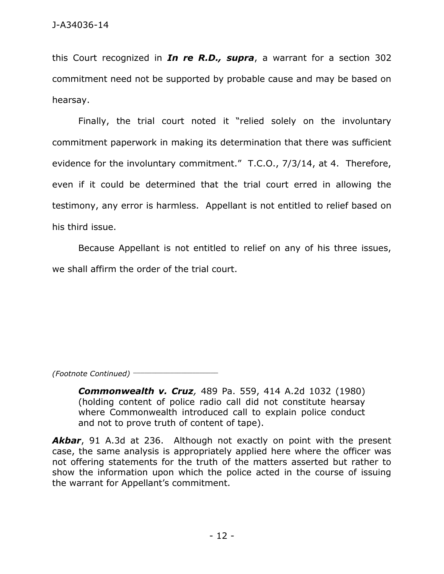this Court recognized in *In re R.D., supra*, a warrant for a section 302 commitment need not be supported by probable cause and may be based on hearsay.

Finally, the trial court noted it "relied solely on the involuntary commitment paperwork in making its determination that there was sufficient evidence for the involuntary commitment." T.C.O., 7/3/14, at 4. Therefore, even if it could be determined that the trial court erred in allowing the testimony, any error is harmless. Appellant is not entitled to relief based on his third issue.

Because Appellant is not entitled to relief on any of his three issues, we shall affirm the order of the trial court.

*(Footnote Continued)* \_\_\_\_\_\_\_\_\_\_\_\_\_\_\_\_\_\_\_\_\_\_\_

*Commonwealth v. Cruz,* 489 Pa. 559, 414 A.2d 1032 (1980) (holding content of police radio call did not constitute hearsay where Commonwealth introduced call to explain police conduct and not to prove truth of content of tape).

*Akbar*, 91 A.3d at 236. Although not exactly on point with the present case, the same analysis is appropriately applied here where the officer was not offering statements for the truth of the matters asserted but rather to show the information upon which the police acted in the course of issuing the warrant for Appellant's commitment.